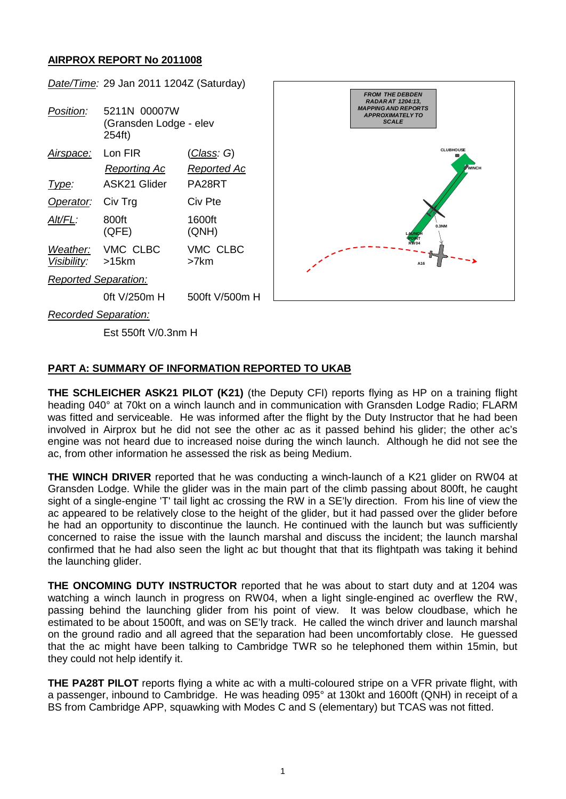# **AIRPROX REPORT No 2011008**



# **PART A: SUMMARY OF INFORMATION REPORTED TO UKAB**

**THE SCHLEICHER ASK21 PILOT (K21)** (the Deputy CFI) reports flying as HP on a training flight heading 040° at 70kt on a winch launch and in communication with Gransden Lodge Radio; FLARM was fitted and serviceable. He was informed after the flight by the Duty Instructor that he had been involved in Airprox but he did not see the other ac as it passed behind his glider; the other ac's engine was not heard due to increased noise during the winch launch. Although he did not see the ac, from other information he assessed the risk as being Medium.

**THE WINCH DRIVER** reported that he was conducting a winch-launch of a K21 glider on RW04 at Gransden Lodge. While the glider was in the main part of the climb passing about 800ft, he caught sight of a single-engine 'T' tail light ac crossing the RW in a SE'ly direction. From his line of view the ac appeared to be relatively close to the height of the glider, but it had passed over the glider before he had an opportunity to discontinue the launch. He continued with the launch but was sufficiently concerned to raise the issue with the launch marshal and discuss the incident; the launch marshal confirmed that he had also seen the light ac but thought that that its flightpath was taking it behind the launching glider.

**THE ONCOMING DUTY INSTRUCTOR** reported that he was about to start duty and at 1204 was watching a winch launch in progress on RW04, when a light single-engined ac overflew the RW, passing behind the launching glider from his point of view. It was below cloudbase, which he estimated to be about 1500ft, and was on SE'ly track. He called the winch driver and launch marshal on the ground radio and all agreed that the separation had been uncomfortably close. He guessed that the ac might have been talking to Cambridge TWR so he telephoned them within 15min, but they could not help identify it.

**THE PA28T PILOT** reports flying a white ac with a multi-coloured stripe on a VFR private flight, with a passenger, inbound to Cambridge. He was heading 095° at 130kt and 1600ft (QNH) in receipt of a BS from Cambridge APP, squawking with Modes C and S (elementary) but TCAS was not fitted.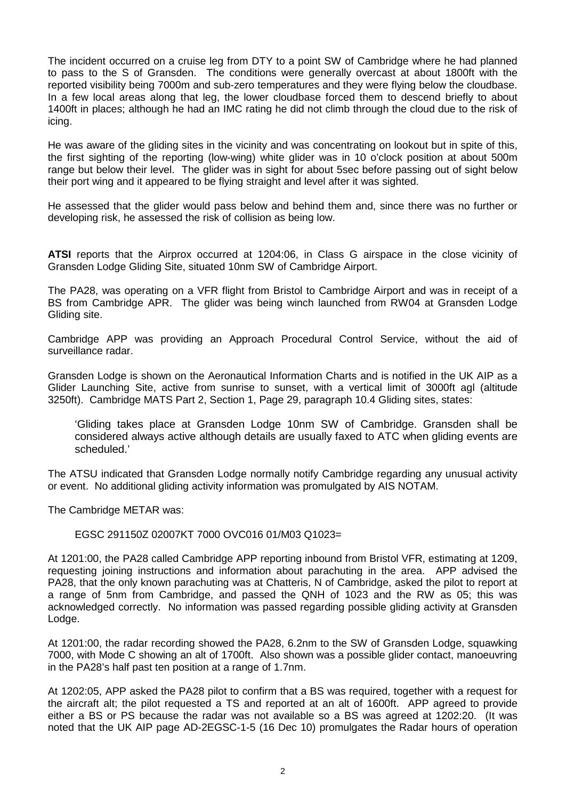The incident occurred on a cruise leg from DTY to a point SW of Cambridge where he had planned to pass to the S of Gransden. The conditions were generally overcast at about 1800ft with the reported visibility being 7000m and sub-zero temperatures and they were flying below the cloudbase. In a few local areas along that leg, the lower cloudbase forced them to descend briefly to about 1400ft in places; although he had an IMC rating he did not climb through the cloud due to the risk of icing.

He was aware of the gliding sites in the vicinity and was concentrating on lookout but in spite of this, the first sighting of the reporting (low-wing) white glider was in 10 o'clock position at about 500m range but below their level. The glider was in sight for about 5sec before passing out of sight below their port wing and it appeared to be flying straight and level after it was sighted.

He assessed that the glider would pass below and behind them and, since there was no further or developing risk, he assessed the risk of collision as being low.

**ATSI** reports that the Airprox occurred at 1204:06, in Class G airspace in the close vicinity of Gransden Lodge Gliding Site, situated 10nm SW of Cambridge Airport.

The PA28, was operating on a VFR flight from Bristol to Cambridge Airport and was in receipt of a BS from Cambridge APR. The glider was being winch launched from RW04 at Gransden Lodge Gliding site.

Cambridge APP was providing an Approach Procedural Control Service, without the aid of surveillance radar.

Gransden Lodge is shown on the Aeronautical Information Charts and is notified in the UK AIP as a Glider Launching Site, active from sunrise to sunset, with a vertical limit of 3000ft agl (altitude 3250ft). Cambridge MATS Part 2, Section 1, Page 29, paragraph 10.4 Gliding sites, states:

'Gliding takes place at Gransden Lodge 10nm SW of Cambridge. Gransden shall be considered always active although details are usually faxed to ATC when gliding events are scheduled.'

The ATSU indicated that Gransden Lodge normally notify Cambridge regarding any unusual activity or event. No additional gliding activity information was promulgated by AIS NOTAM.

The Cambridge METAR was:

### EGSC 291150Z 02007KT 7000 OVC016 01/M03 Q1023=

At 1201:00, the PA28 called Cambridge APP reporting inbound from Bristol VFR, estimating at 1209, requesting joining instructions and information about parachuting in the area. APP advised the PA28, that the only known parachuting was at Chatteris, N of Cambridge, asked the pilot to report at a range of 5nm from Cambridge, and passed the QNH of 1023 and the RW as 05; this was acknowledged correctly. No information was passed regarding possible gliding activity at Gransden Lodge.

At 1201:00, the radar recording showed the PA28, 6.2nm to the SW of Gransden Lodge, squawking 7000, with Mode C showing an alt of 1700ft. Also shown was a possible glider contact, manoeuvring in the PA28's half past ten position at a range of 1.7nm.

At 1202:05, APP asked the PA28 pilot to confirm that a BS was required, together with a request for the aircraft alt; the pilot requested a TS and reported at an alt of 1600ft. APP agreed to provide either a BS or PS because the radar was not available so a BS was agreed at 1202:20. (It was noted that the UK AIP page AD-2EGSC-1-5 (16 Dec 10) promulgates the Radar hours of operation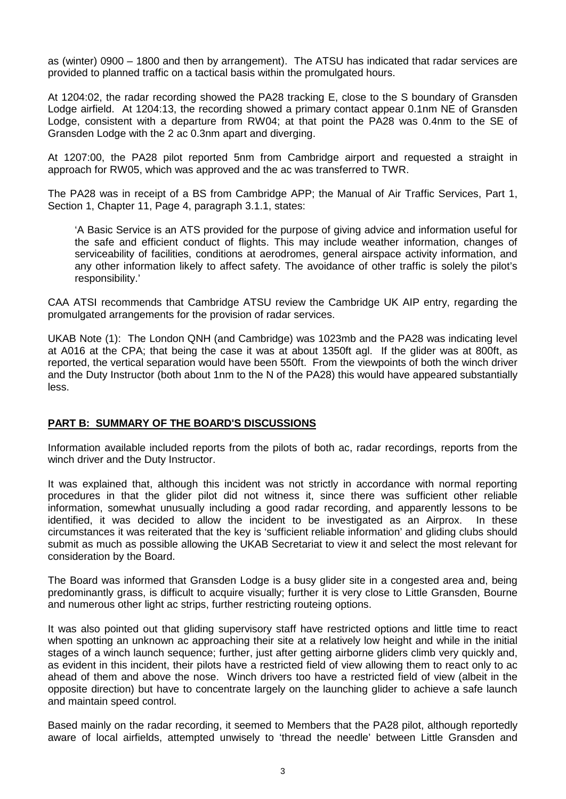as (winter) 0900 – 1800 and then by arrangement). The ATSU has indicated that radar services are provided to planned traffic on a tactical basis within the promulgated hours.

At 1204:02, the radar recording showed the PA28 tracking E, close to the S boundary of Gransden Lodge airfield. At 1204:13, the recording showed a primary contact appear 0.1nm NE of Gransden Lodge, consistent with a departure from RW04; at that point the PA28 was 0.4nm to the SE of Gransden Lodge with the 2 ac 0.3nm apart and diverging.

At 1207:00, the PA28 pilot reported 5nm from Cambridge airport and requested a straight in approach for RW05, which was approved and the ac was transferred to TWR.

The PA28 was in receipt of a BS from Cambridge APP; the Manual of Air Traffic Services, Part 1, Section 1, Chapter 11, Page 4, paragraph 3.1.1, states:

'A Basic Service is an ATS provided for the purpose of giving advice and information useful for the safe and efficient conduct of flights. This may include weather information, changes of serviceability of facilities, conditions at aerodromes, general airspace activity information, and any other information likely to affect safety. The avoidance of other traffic is solely the pilot's responsibility.'

CAA ATSI recommends that Cambridge ATSU review the Cambridge UK AIP entry, regarding the promulgated arrangements for the provision of radar services.

UKAB Note (1): The London QNH (and Cambridge) was 1023mb and the PA28 was indicating level at A016 at the CPA; that being the case it was at about 1350ft agl. If the glider was at 800ft, as reported, the vertical separation would have been 550ft. From the viewpoints of both the winch driver and the Duty Instructor (both about 1nm to the N of the PA28) this would have appeared substantially less.

# **PART B: SUMMARY OF THE BOARD'S DISCUSSIONS**

Information available included reports from the pilots of both ac, radar recordings, reports from the winch driver and the Duty Instructor.

It was explained that, although this incident was not strictly in accordance with normal reporting procedures in that the glider pilot did not witness it, since there was sufficient other reliable information, somewhat unusually including a good radar recording, and apparently lessons to be identified, it was decided to allow the incident to be investigated as an Airprox. In these circumstances it was reiterated that the key is 'sufficient reliable information' and gliding clubs should submit as much as possible allowing the UKAB Secretariat to view it and select the most relevant for consideration by the Board.

The Board was informed that Gransden Lodge is a busy glider site in a congested area and, being predominantly grass, is difficult to acquire visually; further it is very close to Little Gransden, Bourne and numerous other light ac strips, further restricting routeing options.

It was also pointed out that gliding supervisory staff have restricted options and little time to react when spotting an unknown ac approaching their site at a relatively low height and while in the initial stages of a winch launch sequence; further, just after getting airborne gliders climb very quickly and, as evident in this incident, their pilots have a restricted field of view allowing them to react only to ac ahead of them and above the nose. Winch drivers too have a restricted field of view (albeit in the opposite direction) but have to concentrate largely on the launching glider to achieve a safe launch and maintain speed control.

Based mainly on the radar recording, it seemed to Members that the PA28 pilot, although reportedly aware of local airfields, attempted unwisely to 'thread the needle' between Little Gransden and